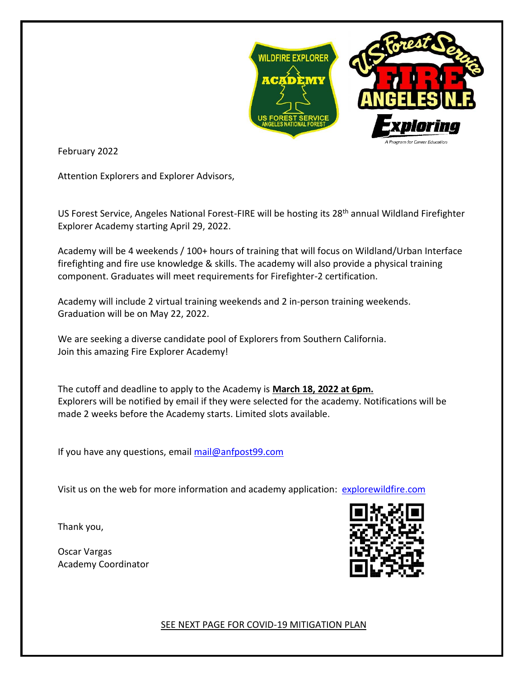

February 2022

Attention Explorers and Explorer Advisors,

US Forest Service, Angeles National Forest-FIRE will be hosting its 28<sup>th</sup> annual Wildland Firefighter Explorer Academy starting April 29, 2022.

Academy will be 4 weekends / 100+ hours of training that will focus on Wildland/Urban Interface firefighting and fire use knowledge & skills. The academy will also provide a physical training component. Graduates will meet requirements for Firefighter-2 certification.

Academy will include 2 virtual training weekends and 2 in-person training weekends. Graduation will be on May 22, 2022.

We are seeking a diverse candidate pool of Explorers from Southern California. Join this amazing Fire Explorer Academy!

The cutoff and deadline to apply to the Academy is **March 18, 2022 at 6pm.**  Explorers will be notified by email if they were selected for the academy. Notifications will be made 2 weeks before the Academy starts. Limited slots available.

If you have any questions, email [mail@anfpost99.com](mailto:mail@anfpost99.com)

Visit us on the web for more information and academy application: [explorewildfire.com](http://anfpost99.com/custom4_1.html)

Thank you,

Oscar Vargas Academy Coordinator



SEE NEXT PAGE FOR COVID-19 MITIGATION PLAN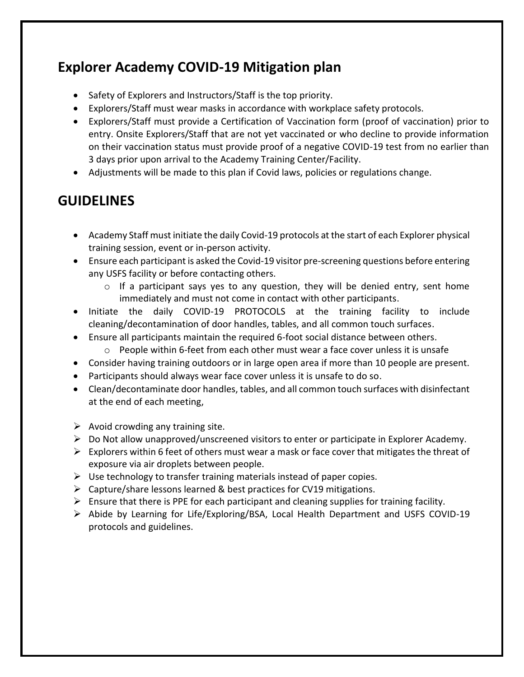## **Explorer Academy COVID-19 Mitigation plan**

- Safety of Explorers and Instructors/Staff is the top priority.
- Explorers/Staff must wear masks in accordance with workplace safety protocols.
- Explorers/Staff must provide a Certification of Vaccination form (proof of vaccination) prior to entry. Onsite Explorers/Staff that are not yet vaccinated or who decline to provide information on their vaccination status must provide proof of a negative COVID-19 test from no earlier than 3 days prior upon arrival to the Academy Training Center/Facility.
- Adjustments will be made to this plan if Covid laws, policies or regulations change.

### **GUIDELINES**

- Academy Staff must initiate the daily Covid-19 protocols at the start of each Explorer physical training session, event or in-person activity.
- Ensure each participant is asked the Covid-19 visitor pre-screening questions before entering any USFS facility or before contacting others.
	- $\circ$  If a participant says yes to any question, they will be denied entry, sent home immediately and must not come in contact with other participants.
- Initiate the daily COVID-19 PROTOCOLS at the training facility to include cleaning/decontamination of door handles, tables, and all common touch surfaces.
- Ensure all participants maintain the required 6-foot social distance between others.
	- $\circ$  People within 6-feet from each other must wear a face cover unless it is unsafe
- Consider having training outdoors or in large open area if more than 10 people are present.
- Participants should always wear face cover unless it is unsafe to do so.
- Clean/decontaminate door handles, tables, and all common touch surfaces with disinfectant at the end of each meeting,
- $\triangleright$  Avoid crowding any training site.
- $\triangleright$  Do Not allow unapproved/unscreened visitors to enter or participate in Explorer Academy.
- $\triangleright$  Explorers within 6 feet of others must wear a mask or face cover that mitigates the threat of exposure via air droplets between people.
- $\triangleright$  Use technology to transfer training materials instead of paper copies.
- ➢ Capture/share lessons learned & best practices for CV19 mitigations.
- $\triangleright$  Ensure that there is PPE for each participant and cleaning supplies for training facility.
- ➢ Abide by Learning for Life/Exploring/BSA, Local Health Department and USFS COVID-19 protocols and guidelines.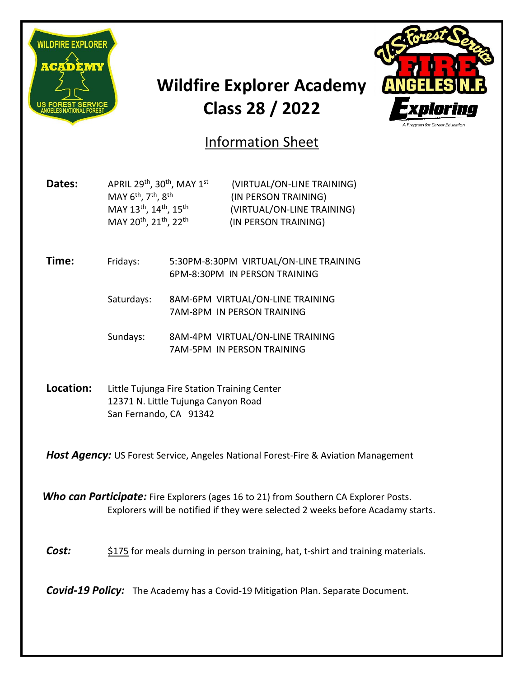

# **Wildfire Explorer Academy Class 28 / 2022**



## Information Sheet

**Dates:** APRIL 29<sup>th</sup>, 30<sup>th</sup>, MAY 1<sup>st</sup> MAY 6<sup>th</sup>, 7<sup>th</sup>, 8<sup>th</sup> MAY 13<sup>th</sup>, 14<sup>th</sup>, 15<sup>th</sup> MAY 20<sup>th</sup>, 21<sup>th</sup>, 22<sup>th</sup>

 (VIRTUAL/ON-LINE TRAINING) (IN PERSON TRAINING) (VIRTUAL/ON-LINE TRAINING) (IN PERSON TRAINING)

**Time:** Fridays: 5:30PM-8:30PM VIRTUAL/ON-LINE TRAINING 6PM-8:30PM IN PERSON TRAINING

> Saturdays: 8AM-6PM VIRTUAL/ON-LINE TRAINING 7AM-8PM IN PERSON TRAINING

> Sundays: 8AM-4PM VIRTUAL/ON-LINE TRAINING 7AM-5PM IN PERSON TRAINING

**Location:** Little Tujunga Fire Station Training Center 12371 N. Little Tujunga Canyon Road San Fernando, CA 91342

*Host Agency:* US Forest Service, Angeles National Forest-Fire & Aviation Management

*Who can Participate:* Fire Explorers (ages 16 to 21) from Southern CA Explorer Posts. Explorers will be notified if they were selected 2 weeks before Acadamy starts.

**Cost:** \$175 for meals durning in person training, hat, t-shirt and training materials.

*Covid-19 Policy:* The Academy has a Covid-19 Mitigation Plan. Separate Document.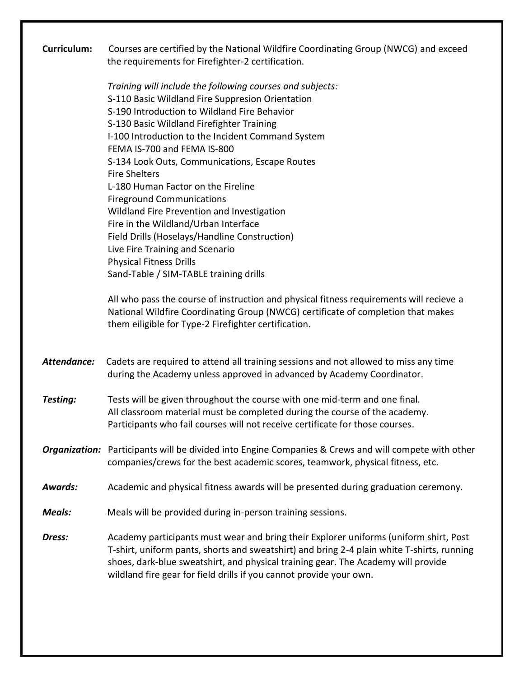| <b>Curriculum:</b> | Courses are certified by the National Wildfire Coordinating Group (NWCG) and exceed                                                                                                 |
|--------------------|-------------------------------------------------------------------------------------------------------------------------------------------------------------------------------------|
|                    | the requirements for Firefighter-2 certification.                                                                                                                                   |
|                    | Training will include the following courses and subjects:                                                                                                                           |
|                    | S-110 Basic Wildland Fire Suppresion Orientation                                                                                                                                    |
|                    | S-190 Introduction to Wildland Fire Behavior                                                                                                                                        |
|                    | S-130 Basic Wildland Firefighter Training                                                                                                                                           |
|                    | I-100 Introduction to the Incident Command System                                                                                                                                   |
|                    | FEMA IS-700 and FEMA IS-800                                                                                                                                                         |
|                    | S-134 Look Outs, Communications, Escape Routes                                                                                                                                      |
|                    | <b>Fire Shelters</b>                                                                                                                                                                |
|                    | L-180 Human Factor on the Fireline<br><b>Fireground Communications</b>                                                                                                              |
|                    | Wildland Fire Prevention and Investigation                                                                                                                                          |
|                    | Fire in the Wildland/Urban Interface                                                                                                                                                |
|                    | Field Drills (Hoselays/Handline Construction)                                                                                                                                       |
|                    | Live Fire Training and Scenario                                                                                                                                                     |
|                    | <b>Physical Fitness Drills</b>                                                                                                                                                      |
|                    | Sand-Table / SIM-TABLE training drills                                                                                                                                              |
|                    |                                                                                                                                                                                     |
|                    | All who pass the course of instruction and physical fitness requirements will recieve a                                                                                             |
|                    | National Wildfire Coordinating Group (NWCG) certificate of completion that makes                                                                                                    |
|                    | them eiligible for Type-2 Firefighter certification.                                                                                                                                |
|                    |                                                                                                                                                                                     |
| Attendance:        | Cadets are required to attend all training sessions and not allowed to miss any time                                                                                                |
|                    | during the Academy unless approved in advanced by Academy Coordinator.                                                                                                              |
|                    |                                                                                                                                                                                     |
| Testing:           | Tests will be given throughout the course with one mid-term and one final.                                                                                                          |
|                    | All classroom material must be completed during the course of the academy.                                                                                                          |
|                    | Participants who fail courses will not receive certificate for those courses.                                                                                                       |
|                    |                                                                                                                                                                                     |
|                    | <b>Organization:</b> Participants will be divided into Engine Companies & Crews and will compete with other                                                                         |
|                    | companies/crews for the best academic scores, teamwork, physical fitness, etc.                                                                                                      |
| <b>Awards:</b>     |                                                                                                                                                                                     |
|                    | Academic and physical fitness awards will be presented during graduation ceremony.                                                                                                  |
| Meals:             | Meals will be provided during in-person training sessions.                                                                                                                          |
|                    |                                                                                                                                                                                     |
| Dress:             | Academy participants must wear and bring their Explorer uniforms (uniform shirt, Post<br>T-shirt, uniform pants, shorts and sweatshirt) and bring 2-4 plain white T-shirts, running |
|                    | shoes, dark-blue sweatshirt, and physical training gear. The Academy will provide                                                                                                   |
|                    | wildland fire gear for field drills if you cannot provide your own.                                                                                                                 |
|                    |                                                                                                                                                                                     |
|                    |                                                                                                                                                                                     |
|                    |                                                                                                                                                                                     |